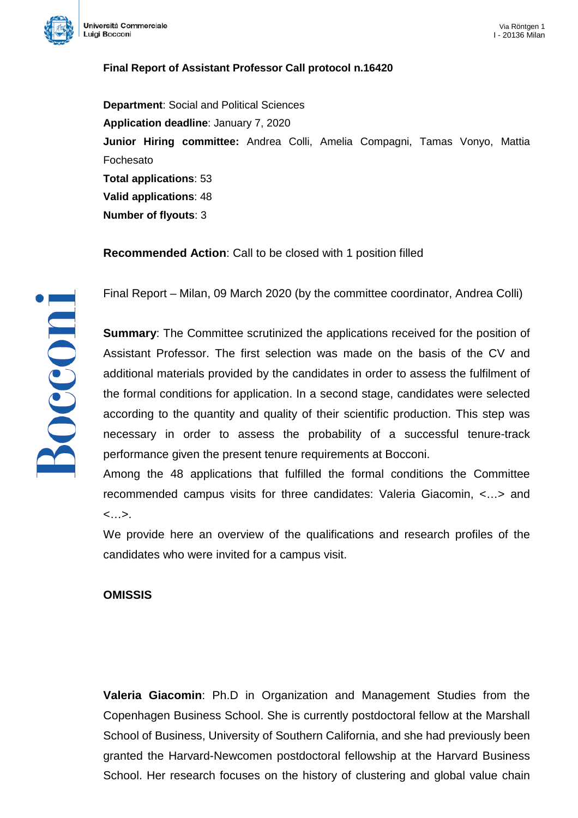

## **Final Report of Assistant Professor Call protocol n.16420**

**Department**: Social and Political Sciences **Application deadline**: January 7, 2020 **Junior Hiring committee:** Andrea Colli, Amelia Compagni, Tamas Vonyo, Mattia Fochesato **Total applications**: 53 **Valid applications**: 48 **Number of flyouts**: 3

**Recommended Action**: Call to be closed with 1 position filled

Final Report – Milan, 09 March 2020 (by the committee coordinator, Andrea Colli)

**Summary:** The Committee scrutinized the applications received for the position of Assistant Professor. The first selection was made on the basis of the CV and additional materials provided by the candidates in order to assess the fulfilment of the formal conditions for application. In a second stage, candidates were selected according to the quantity and quality of their scientific production. This step was necessary in order to assess the probability of a successful tenure-track performance given the present tenure requirements at Bocconi.

Among the 48 applications that fulfilled the formal conditions the Committee recommended campus visits for three candidates: Valeria Giacomin, <…> and <…>.

We provide here an overview of the qualifications and research profiles of the candidates who were invited for a campus visit.

## **OMISSIS**

**Valeria Giacomin**: Ph.D in Organization and Management Studies from the Copenhagen Business School. She is currently postdoctoral fellow at the Marshall School of Business, University of Southern California, and she had previously been granted the Harvard-Newcomen postdoctoral fellowship at the Harvard Business School. Her research focuses on the history of clustering and global value chain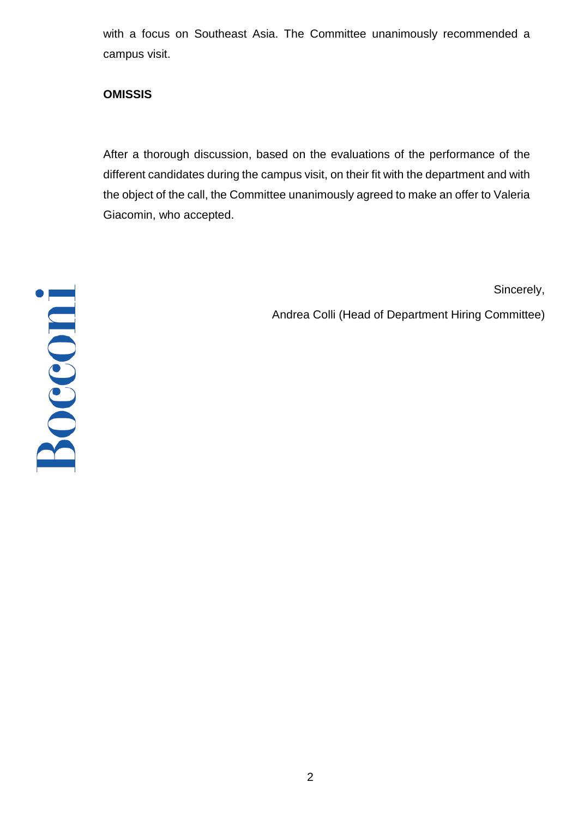with a focus on Southeast Asia. The Committee unanimously recommended a campus visit.

## **OMISSIS**

After a thorough discussion, based on the evaluations of the performance of the different candidates during the campus visit, on their fit with the department and with the object of the call, the Committee unanimously agreed to make an offer to Valeria Giacomin, who accepted.

Sincerely,

Andrea Colli (Head of Department Hiring Committee)